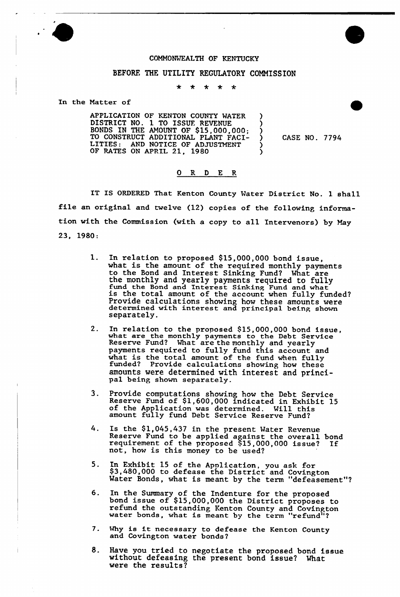

## COMMONWEALTH OF KENTUCKY

## BEFORE THE UTILITY REGULATORY COMMISSION

 $\star$  $*$  \*  $\star$ 

In the Natter of

APPLICATION OF KENTON COUNTY WATER DISTRICT NO. 1 TO ISSUF. REVENUE BONDS IN THE AMOUNT OF \$15,000,000; TO CONSTRUCT ADDITIONAL PLANT FACI-LITIES: AND NOTICE OF ADJUSTMENT OF RATES ON APRIL 21, 1980

) CASE NO. 7794

) ) )

> <u>ز</u> )

## 0 R <sup>D</sup> E R

IT IS ORDERED That Kenton County Water District No. 1 shall file an original and twelve (12) copies of the following information with the Commission (with a copy to all Intervenors) by May 23, 1980:

- $1.$ In relation to proposed \$15,000,000 bond issue. what is the amount of the required monthly payments to the Bond and Interest Sinking Fund? What are the monthly and yearly payments required to fully fund the Bond and Interest Sinking Fund and what is the total amount of the account when fully funded? Provide calculations showing how these amounts were determined with interest and principal being shown separately.
- In relation to the proposed \$15,000,000 bond issue<br>what are the monthly payments to the Debt Service  $2.$ Reserve Fund? What are the monthly and yearly payments required to fully fund this account and payments required to rurry rund this account and<br>what is the total amount of the fund when fully<br>funded? Provide calculations showing how these funded? Provide calculations showing how these<br>amounts were determined with interest and principal being shown separately.
- Provide computations showing how the Debt Service<br>Reserve Fund of \$1,600,000 indicated in Exhibit 15 3. of the Application was determined. Will this amount fully fund Debt Service Reserve Fund?
- $4<sup>1</sup>$ Is the \$1,045,437 in the present Water Revenue Reserve Fund to be applied against the overall bond requirement of the proposed \$15,000,000 issue? If not, how is this money to be used?
- In Exhibit 15 of the Apolication, you ask for 5. \$3,480,000 to defease the District and Covingto Water Bonds, what is meant by the term "defeasement"?
- In the Summary of the Indenture for the propose 6. bond issue of \$15,000,000 the District proposes to refund the outstanding Kenton County and Covinpton water bonds, what is meant by the term "refund"?
- 7. Mhy is it necessary to defease the Kenton County and Covington water bonds
- 8. Have you tried to negotiate the proposed bond issue without defeasing the present bond issue? What were the results?